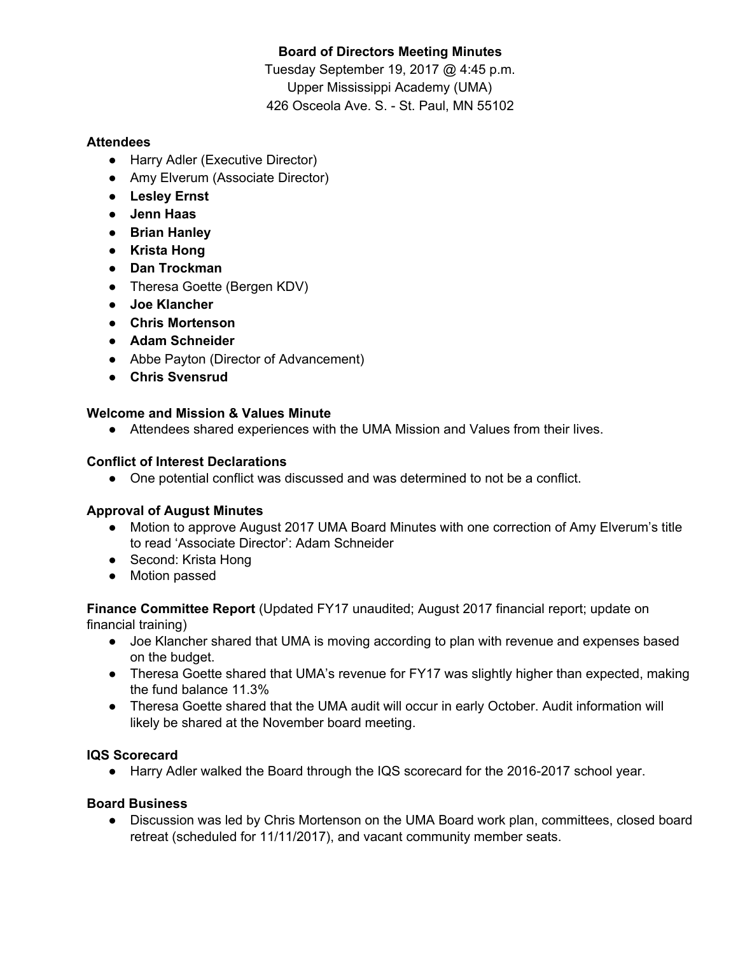# **Board of Directors Meeting Minutes**

Tuesday September 19, 2017 @ 4:45 p.m. Upper Mississippi Academy (UMA) 426 Osceola Ave. S. - St. Paul, MN 55102

## **Attendees**

- Harry Adler (Executive Director)
- Amy Elverum (Associate Director)
- **● Lesley Ernst**
- **● Jenn Haas**
- **● Brian Hanley**
- **● Krista Hong**
- **● Dan Trockman**
- Theresa Goette (Bergen KDV)
- **● Joe Klancher**
- **● Chris Mortenson**
- **● Adam Schneider**
- Abbe Payton (Director of Advancement)
- **● Chris Svensrud**

## **Welcome and Mission & Values Minute**

● Attendees shared experiences with the UMA Mission and Values from their lives.

## **Conflict of Interest Declarations**

● One potential conflict was discussed and was determined to not be a conflict.

## **Approval of August Minutes**

- Motion to approve August 2017 UMA Board Minutes with one correction of Amy Elverum's title to read 'Associate Director': Adam Schneider
- Second: Krista Hong
- Motion passed

**Finance Committee Report** (Updated FY17 unaudited; August 2017 financial report; update on financial training)

- Joe Klancher shared that UMA is moving according to plan with revenue and expenses based on the budget.
- Theresa Goette shared that UMA's revenue for FY17 was slightly higher than expected, making the fund balance 11.3%
- Theresa Goette shared that the UMA audit will occur in early October. Audit information will likely be shared at the November board meeting.

### **IQS Scorecard**

● Harry Adler walked the Board through the IQS scorecard for the 2016-2017 school year.

### **Board Business**

• Discussion was led by Chris Mortenson on the UMA Board work plan, committees, closed board retreat (scheduled for 11/11/2017), and vacant community member seats.